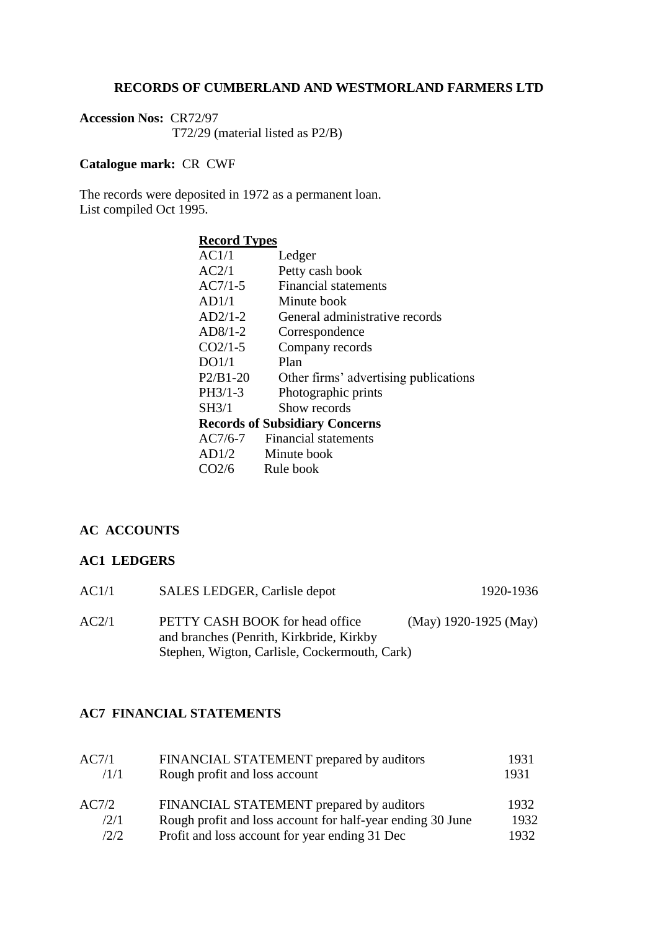#### **RECORDS OF CUMBERLAND AND WESTMORLAND FARMERS LTD**

**Accession Nos:** CR72/97 T72/29 (material listed as P2/B)

## **Catalogue mark:** CR CWF

The records were deposited in 1972 as a permanent loan. List compiled Oct 1995.

# **Record Types**

| AC1/1             | Ledger                                |
|-------------------|---------------------------------------|
| AC2/1             | Petty cash book                       |
| $AC7/1-5$         | <b>Financial statements</b>           |
| AD1/1             | Minute book                           |
| $AD2/1-2$         | General administrative records        |
| $AD8/1-2$         | Correspondence                        |
| $CO2/1-5$         | Company records                       |
| DO1/1             | Plan                                  |
| $P2/B1-20$        | Other firms' advertising publications |
| PH3/1-3           | Photographic prints                   |
| SH3/1             | Show records                          |
|                   | <b>Records of Subsidiary Concerns</b> |
| $AC7/6-7$         | Financial statements                  |
| AD1/2             | Minute book                           |
| CO <sub>2/6</sub> | Rule book                             |
|                   |                                       |

## **AC ACCOUNTS**

#### **AC1 LEDGERS**

| AC1/1 | SALES LEDGER, Carlisle depot                                                                                                 | 1920-1936             |
|-------|------------------------------------------------------------------------------------------------------------------------------|-----------------------|
| AC2/1 | PETTY CASH BOOK for head office<br>and branches (Penrith, Kirkbride, Kirkby<br>Stephen, Wigton, Carlisle, Cockermouth, Cark) | (May) 1920-1925 (May) |

## **AC7 FINANCIAL STATEMENTS**

| AC7/1 | FINANCIAL STATEMENT prepared by auditors                   | 1931 |
|-------|------------------------------------------------------------|------|
| /1/1  | Rough profit and loss account                              | 1931 |
| AC7/2 | FINANCIAL STATEMENT prepared by auditors                   | 1932 |
| /2/1  | Rough profit and loss account for half-year ending 30 June | 1932 |
| 12/2  | Profit and loss account for year ending 31 Dec             | 1932 |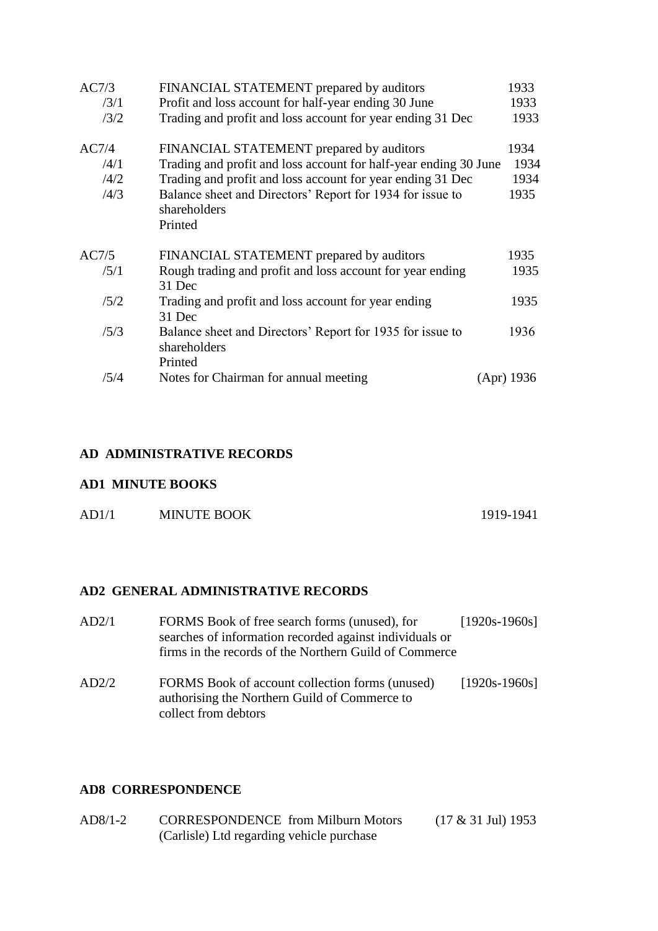| AC7/3 | FINANCIAL STATEMENT prepared by auditors                                             | 1933       |
|-------|--------------------------------------------------------------------------------------|------------|
| /3/1  | Profit and loss account for half-year ending 30 June                                 | 1933       |
| /3/2  | Trading and profit and loss account for year ending 31 Dec                           | 1933       |
| AC7/4 | FINANCIAL STATEMENT prepared by auditors                                             | 1934       |
| /4/1  | Trading and profit and loss account for half-year ending 30 June                     | 1934       |
| /4/2  | Trading and profit and loss account for year ending 31 Dec                           | 1934       |
| /4/3  | Balance sheet and Directors' Report for 1934 for issue to<br>shareholders<br>Printed | 1935       |
| AC7/5 | FINANCIAL STATEMENT prepared by auditors                                             | 1935       |
| /5/1  | Rough trading and profit and loss account for year ending<br>31 Dec                  | 1935       |
| /5/2  | Trading and profit and loss account for year ending<br>31 Dec                        | 1935       |
| /5/3  | Balance sheet and Directors' Report for 1935 for issue to<br>shareholders<br>Printed | 1936       |
| /5/4  | Notes for Chairman for annual meeting                                                | (Apr) 1936 |

### **AD ADMINISTRATIVE RECORDS**

# **AD1 MINUTE BOOKS**

| AD1/1 | <b>MINUTE BOOK</b> | 1919-1941 |
|-------|--------------------|-----------|
|       |                    |           |

# **AD2 GENERAL ADMINISTRATIVE RECORDS**

| AD2/1 | FORMS Book of free search forms (unused), for<br>searches of information recorded against individuals or<br>firms in the records of the Northern Guild of Commerce | $[1920s-1960s]$ |
|-------|--------------------------------------------------------------------------------------------------------------------------------------------------------------------|-----------------|
| AD2/2 | FORMS Book of account collection forms (unused)<br>authorising the Northern Guild of Commerce to<br>collect from debtors                                           | $[1920s-1960s]$ |

## **AD8 CORRESPONDENCE**

| AD8/1-2 | <b>CORRESPONDENCE</b> from Milburn Motors | $(17 \& 31 \text{ Jul})$ 1953 |
|---------|-------------------------------------------|-------------------------------|
|         | (Carlisle) Ltd regarding vehicle purchase |                               |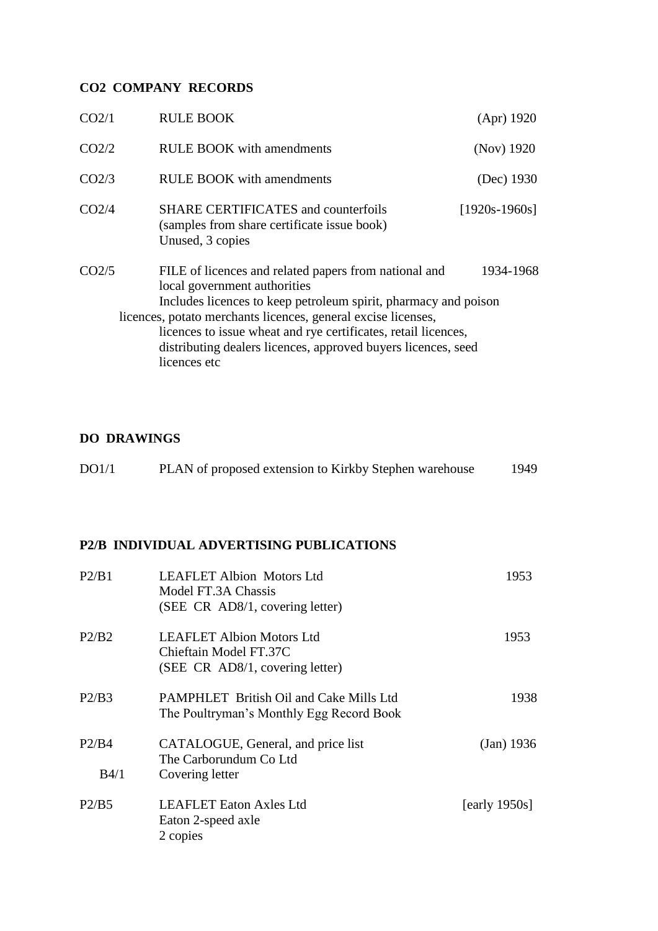# **CO2 COMPANY RECORDS**

| CO <sub>2/1</sub> | <b>RULE BOOK</b>                                                                                                                                                                                                                                                                                                                                                             | (Apr) 1920      |
|-------------------|------------------------------------------------------------------------------------------------------------------------------------------------------------------------------------------------------------------------------------------------------------------------------------------------------------------------------------------------------------------------------|-----------------|
| CO <sub>2/2</sub> | <b>RULE BOOK</b> with amendments                                                                                                                                                                                                                                                                                                                                             | (Nov) 1920      |
| CO <sub>2/3</sub> | <b>RULE BOOK</b> with amendments                                                                                                                                                                                                                                                                                                                                             | (Dec) 1930      |
| CO <sub>2/4</sub> | <b>SHARE CERTIFICATES and counterfoils</b><br>(samples from share certificate issue book)<br>Unused, 3 copies                                                                                                                                                                                                                                                                | $[1920s-1960s]$ |
| CO <sub>2/5</sub> | FILE of licences and related papers from national and<br>local government authorities<br>Includes licences to keep petroleum spirit, pharmacy and poison<br>licences, potato merchants licences, general excise licenses,<br>licences to issue wheat and rye certificates, retail licences,<br>distributing dealers licences, approved buyers licences, seed<br>licences etc | 1934-1968       |

# **DO DRAWINGS**

| DO1/1 | PLAN of proposed extension to Kirkby Stephen warehouse | 1949 |
|-------|--------------------------------------------------------|------|
|-------|--------------------------------------------------------|------|

# **P2/B INDIVIDUAL ADVERTISING PUBLICATIONS**

| P2/B1         | <b>LEAFLET Albion Motors Ltd</b><br>Model FT.3A Chassis<br>(SEE CR AD8/1, covering letter)    | 1953             |
|---------------|-----------------------------------------------------------------------------------------------|------------------|
| P2/B2         | <b>LEAFLET Albion Motors Ltd</b><br>Chieftain Model FT.37C<br>(SEE CR AD8/1, covering letter) | 1953             |
| P2/B3         | <b>PAMPHLET</b> British Oil and Cake Mills Ltd<br>The Poultryman's Monthly Egg Record Book    | 1938             |
| P2/B4<br>B4/1 | CATALOGUE, General, and price list<br>The Carborundum Co Ltd<br>Covering letter               | (Jan) 1936       |
| P2/B5         | <b>LEAFLET</b> Eaton Axles Ltd<br>Eaton 2-speed axle<br>2 copies                              | [early $1950s$ ] |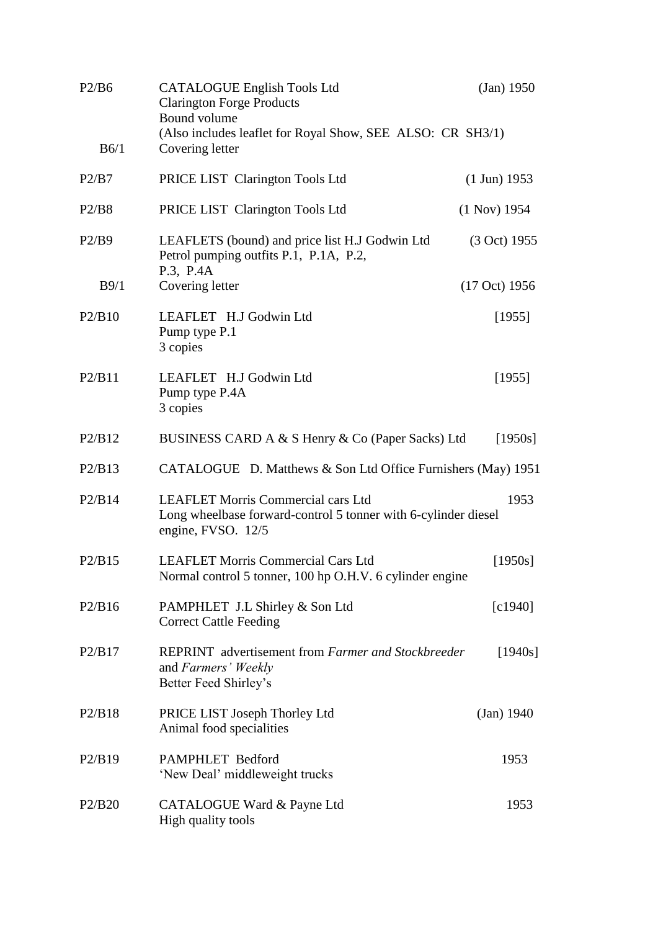| P2/B6  | <b>CATALOGUE English Tools Ltd</b><br><b>Clarington Forge Products</b><br>Bound volume<br>(Also includes leaflet for Royal Show, SEE ALSO: CR SH3/1) | (Jan) 1950             |
|--------|------------------------------------------------------------------------------------------------------------------------------------------------------|------------------------|
| B6/1   | Covering letter                                                                                                                                      |                        |
| P2/B7  | PRICE LIST Clarington Tools Ltd                                                                                                                      | $(1 \text{ Jun}) 1953$ |
| P2/B8  | PRICE LIST Clarington Tools Ltd                                                                                                                      | $(1$ Nov) 1954         |
| P2/B9  | LEAFLETS (bound) and price list H.J Godwin Ltd<br>Petrol pumping outfits P.1, P.1A, P.2,<br>P.3, P.4A                                                | (3 Oct) 1955           |
| B9/1   | Covering letter                                                                                                                                      | (17 Oct) 1956          |
| P2/B10 | LEAFLET H.J Godwin Ltd<br>Pump type P.1<br>3 copies                                                                                                  | [1955]                 |
| P2/B11 | LEAFLET H.J Godwin Ltd<br>Pump type P.4A<br>3 copies                                                                                                 | [1955]                 |
| P2/B12 | BUSINESS CARD A & S Henry & Co (Paper Sacks) Ltd                                                                                                     | [1950s]                |
| P2/B13 | CATALOGUE D. Matthews & Son Ltd Office Furnishers (May) 1951                                                                                         |                        |
| P2/B14 | <b>LEAFLET Morris Commercial cars Ltd</b><br>Long wheelbase forward-control 5 tonner with 6-cylinder diesel<br>engine, FVSO. 12/5                    | 1953                   |
| P2/B15 | <b>LEAFLET Morris Commercial Cars Ltd</b><br>Normal control 5 tonner, 100 hp O.H.V. 6 cylinder engine                                                | [1950s]                |
| P2/B16 | PAMPHLET J.L Shirley & Son Ltd<br><b>Correct Cattle Feeding</b>                                                                                      | [c1940]                |
| P2/B17 | <b>REPRINT</b> advertisement from Farmer and Stockbreeder<br>and Farmers' Weekly<br>Better Feed Shirley's                                            | [1940s]                |
| P2/B18 | PRICE LIST Joseph Thorley Ltd<br>Animal food specialities                                                                                            | (Jan) 1940             |
| P2/B19 | PAMPHLET Bedford<br>'New Deal' middleweight trucks                                                                                                   | 1953                   |
| P2/B20 | CATALOGUE Ward & Payne Ltd<br>High quality tools                                                                                                     | 1953                   |